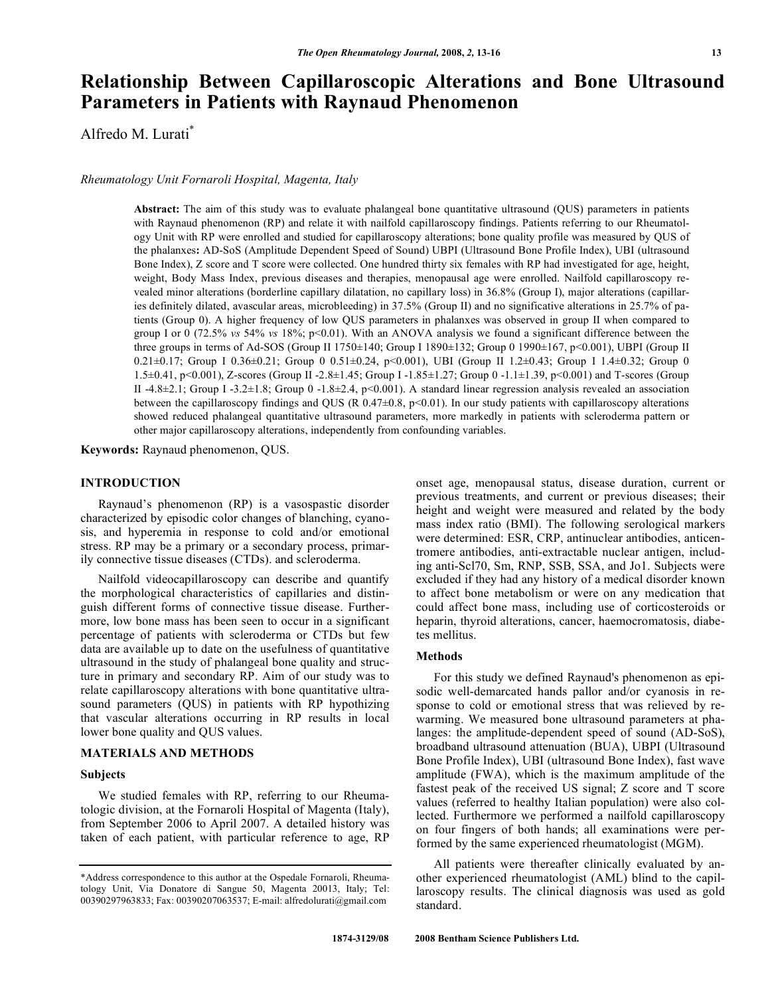# **Relationship Between Capillaroscopic Alterations and Bone Ultrasound Parameters in Patients with Raynaud Phenomenon**

Alfredo M. Lurati\*

*Rheumatology Unit Fornaroli Hospital, Magenta, Italy* 

**Abstract:** The aim of this study was to evaluate phalangeal bone quantitative ultrasound (QUS) parameters in patients with Raynaud phenomenon (RP) and relate it with nailfold capillaroscopy findings. Patients referring to our Rheumatology Unit with RP were enrolled and studied for capillaroscopy alterations; bone quality profile was measured by QUS of the phalanxes**:** AD-SoS (Amplitude Dependent Speed of Sound) UBPI (Ultrasound Bone Profile Index), UBI (ultrasound Bone Index), Z score and T score were collected. One hundred thirty six females with RP had investigated for age, height, weight, Body Mass Index, previous diseases and therapies, menopausal age were enrolled. Nailfold capillaroscopy revealed minor alterations (borderline capillary dilatation, no capillary loss) in 36.8% (Group I), major alterations (capillaries definitely dilated, avascular areas, microbleeding) in 37.5% (Group II) and no significative alterations in 25.7% of patients (Group 0). A higher frequency of low QUS parameters in phalanxes was observed in group II when compared to group I or 0 (72.5% *vs* 54% *vs* 18%; p<0.01). With an ANOVA analysis we found a significant difference between the three groups in terms of Ad-SOS (Group II 1750±140; Group I 1890±132; Group 0 1990±167, p<0.001), UBPI (Group II 0.21±0.17; Group I 0.36±0.21; Group 0 0.51±0.24, p<0.001), UBI (Group II 1.2±0.43; Group I 1.4±0.32; Group 0 1.5±0.41, p<0.001), Z-scores (Group II -2.8±1.45; Group I -1.85±1.27; Group 0 -1.1±1.39, p<0.001) and T-scores (Group II -4.8±2.1; Group I -3.2±1.8; Group 0 -1.8±2.4, p<0.001). A standard linear regression analysis revealed an association between the capillaroscopy findings and QUS (R  $0.47\pm0.8$ , p<0.01). In our study patients with capillaroscopy alterations showed reduced phalangeal quantitative ultrasound parameters, more markedly in patients with scleroderma pattern or other major capillaroscopy alterations, independently from confounding variables.

**Keywords:** Raynaud phenomenon, QUS.

### **INTRODUCTION**

 Raynaud's phenomenon (RP) is a vasospastic disorder characterized by episodic color changes of blanching, cyanosis, and hyperemia in response to cold and/or emotional stress. RP may be a primary or a secondary process, primarily connective tissue diseases (CTDs). and scleroderma.

 Nailfold videocapillaroscopy can describe and quantify the morphological characteristics of capillaries and distinguish different forms of connective tissue disease. Furthermore, low bone mass has been seen to occur in a significant percentage of patients with scleroderma or CTDs but few data are available up to date on the usefulness of quantitative ultrasound in the study of phalangeal bone quality and structure in primary and secondary RP. Aim of our study was to relate capillaroscopy alterations with bone quantitative ultrasound parameters (QUS) in patients with RP hypothizing that vascular alterations occurring in RP results in local lower bone quality and QUS values.

#### **MATERIALS AND METHODS**

## **Subjects**

 We studied females with RP, referring to our Rheumatologic division, at the Fornaroli Hospital of Magenta (Italy), from September 2006 to April 2007. A detailed history was taken of each patient, with particular reference to age, RP onset age, menopausal status, disease duration, current or previous treatments, and current or previous diseases; their height and weight were measured and related by the body mass index ratio (BMI). The following serological markers were determined: ESR, CRP, antinuclear antibodies, anticentromere antibodies, anti-extractable nuclear antigen, including anti-Scl70, Sm, RNP, SSB, SSA, and Jo1. Subjects were excluded if they had any history of a medical disorder known to affect bone metabolism or were on any medication that could affect bone mass, including use of corticosteroids or heparin, thyroid alterations, cancer, haemocromatosis, diabetes mellitus.

## **Methods**

 For this study we defined Raynaud's phenomenon as episodic well-demarcated hands pallor and/or cyanosis in response to cold or emotional stress that was relieved by rewarming. We measured bone ultrasound parameters at phalanges: the amplitude-dependent speed of sound (AD-SoS), broadband ultrasound attenuation (BUA), UBPI (Ultrasound Bone Profile Index), UBI (ultrasound Bone Index), fast wave amplitude (FWA), which is the maximum amplitude of the fastest peak of the received US signal; Z score and T score values (referred to healthy Italian population) were also collected. Furthermore we performed a nailfold capillaroscopy on four fingers of both hands; all examinations were performed by the same experienced rheumatologist (MGM).

 All patients were thereafter clinically evaluated by another experienced rheumatologist (AML) blind to the capillaroscopy results. The clinical diagnosis was used as gold standard.

<sup>\*</sup>Address correspondence to this author at the Ospedale Fornaroli, Rheumatology Unit, Via Donatore di Sangue 50, Magenta 20013, Italy; Tel: 00390297963833; Fax: 00390207063537; E-mail: alfredolurati@gmail.com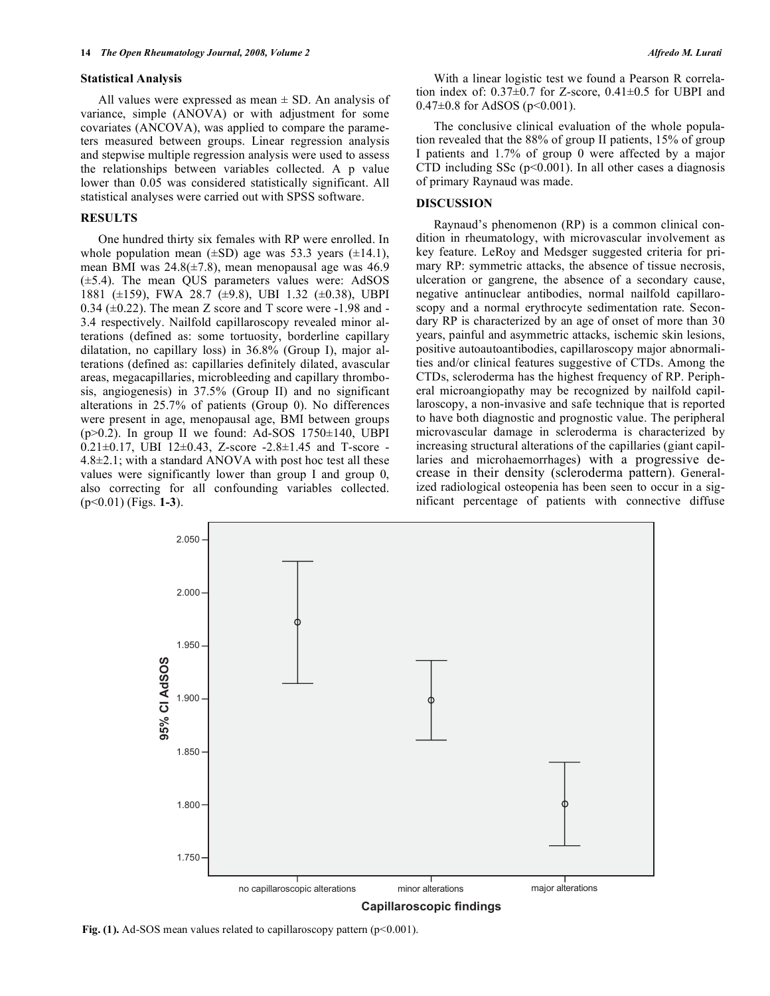#### **Statistical Analysis**

All values were expressed as mean  $\pm$  SD. An analysis of variance, simple (ANOVA) or with adjustment for some covariates (ANCOVA), was applied to compare the parameters measured between groups. Linear regression analysis and stepwise multiple regression analysis were used to assess the relationships between variables collected. A p value lower than 0.05 was considered statistically significant. All statistical analyses were carried out with SPSS software.

#### **RESULTS**

 One hundred thirty six females with RP were enrolled. In whole population mean  $(\pm SD)$  age was 53.3 years  $(\pm 14.1)$ , mean BMI was  $24.8(\pm 7.8)$ , mean menopausal age was 46.9 (±5.4). The mean QUS parameters values were: AdSOS 1881 (±159), FWA 28.7 (±9.8), UBI 1.32 (±0.38), UBPI  $0.34$  ( $\pm 0.22$ ). The mean Z score and T score were -1.98 and -3.4 respectively. Nailfold capillaroscopy revealed minor alterations (defined as: some tortuosity, borderline capillary dilatation, no capillary loss) in 36.8% (Group I), major alterations (defined as: capillaries definitely dilated, avascular areas, megacapillaries, microbleeding and capillary thrombosis, angiogenesis) in 37.5% (Group II) and no significant alterations in 25.7% of patients (Group 0). No differences were present in age, menopausal age, BMI between groups  $(p>0.2)$ . In group II we found: Ad-SOS 1750 $\pm$ 140, UBPI 0.21 $\pm$ 0.17, UBI 12 $\pm$ 0.43, Z-score -2.8 $\pm$ 1.45 and T-score - $4.8\pm2.1$ ; with a standard ANOVA with post hoc test all these values were significantly lower than group I and group 0, also correcting for all confounding variables collected. (p<0.01) (Figs. **1-3**).

 With a linear logistic test we found a Pearson R correlation index of:  $0.37\pm0.7$  for Z-score,  $0.41\pm0.5$  for UBPI and  $0.47\pm0.8$  for AdSOS (p<0.001).

 The conclusive clinical evaluation of the whole population revealed that the 88% of group II patients, 15% of group I patients and 1.7% of group 0 were affected by a major CTD including SSc  $(p<0.001)$ . In all other cases a diagnosis of primary Raynaud was made.

### **DISCUSSION**

 Raynaud's phenomenon (RP) is a common clinical condition in rheumatology, with microvascular involvement as key feature. LeRoy and Medsger suggested criteria for primary RP: symmetric attacks, the absence of tissue necrosis, ulceration or gangrene, the absence of a secondary cause, negative antinuclear antibodies, normal nailfold capillaroscopy and a normal erythrocyte sedimentation rate. Secondary RP is characterized by an age of onset of more than 30 years, painful and asymmetric attacks, ischemic skin lesions, positive autoautoantibodies, capillaroscopy major abnormalities and/or clinical features suggestive of CTDs. Among the CTDs, scleroderma has the highest frequency of RP. Peripheral microangiopathy may be recognized by nailfold capillaroscopy, a non-invasive and safe technique that is reported to have both diagnostic and prognostic value. The peripheral microvascular damage in scleroderma is characterized by increasing structural alterations of the capillaries (giant capillaries and microhaemorrhages) with a progressive decrease in their density (scleroderma pattern). Generalized radiological osteopenia has been seen to occur in a significant percentage of patients with connective diffuse



**Fig. (1).** Ad-SOS mean values related to capillaroscopy pattern  $(p<0.001)$ .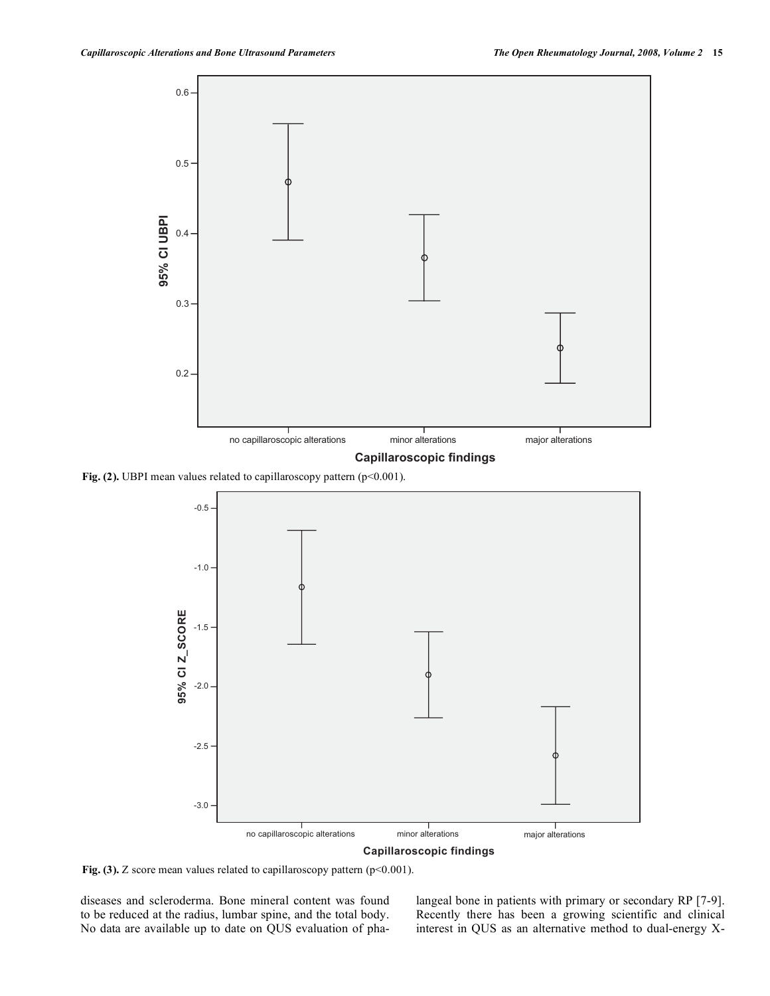

Fig. (2). UBPI mean values related to capillaroscopy pattern (p<0.001).



Fig. (3). Z score mean values related to capillaroscopy pattern (p<0.001).

diseases and scleroderma. Bone mineral content was found to be reduced at the radius, lumbar spine, and the total body. No data are available up to date on QUS evaluation of phalangeal bone in patients with primary or secondary RP [7-9]. Recently there has been a growing scientific and clinical interest in QUS as an alternative method to dual-energy X-